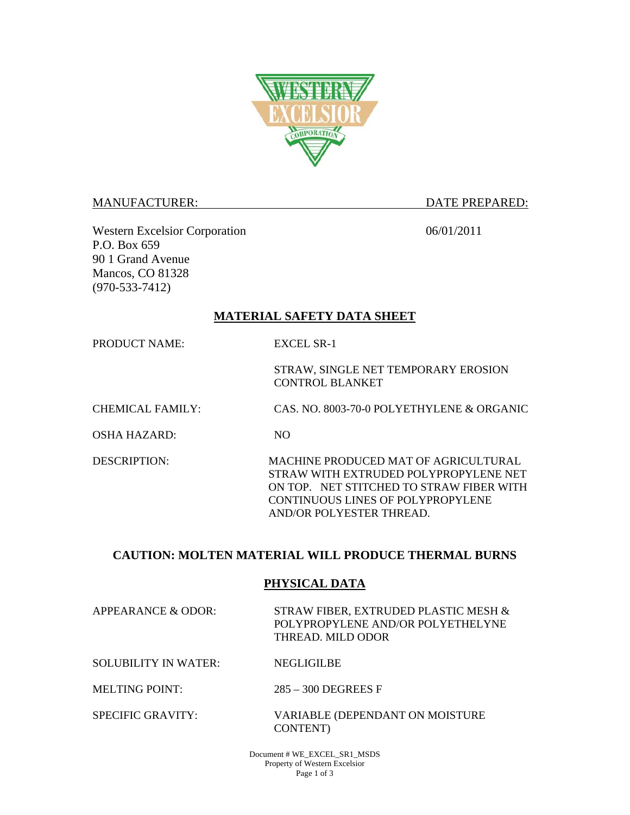

#### MANUFACTURER: DATE PREPARED:

Western Excelsior Corporation 06/01/2011 P.O. Box 659 90 1 Grand Avenue Mancos, CO 81328 (970-533-7412)

# **MATERIAL SAFETY DATA SHEET**

PRODUCT NAME: EXCEL SR-1

STRAW, SINGLE NET TEMPORARY EROSION CONTROL BLANKET

CHEMICAL FAMILY: CAS. NO. 8003-70-0 POLYETHYLENE & ORGANIC

OSHA HAZARD: NO

DESCRIPTION: MACHINE PRODUCED MAT OF AGRICULTURAL STRAW WITH EXTRUDED POLYPROPYLENE NET ON TOP. NET STITCHED TO STRAW FIBER WITH CONTINUOUS LINES OF POLYPROPYLENE AND/OR POLYESTER THREAD.

# **CAUTION: MOLTEN MATERIAL WILL PRODUCE THERMAL BURNS**

# **PHYSICAL DATA**

APPEARANCE & ODOR: STRAW FIBER, EXTRUDED PLASTIC MESH & POLYPROPYLENE AND/OR POLYETHELYNE THREAD. MILD ODOR

SOLUBILITY IN WATER: NEGLIGILBE

MELTING POINT: 285 – 300 DEGREES F

SPECIFIC GRAVITY: VARIABLE (DEPENDANT ON MOISTURE CONTENT)

> Document # WE\_EXCEL\_SR1\_MSDS Property of Western Excelsior Page 1 of 3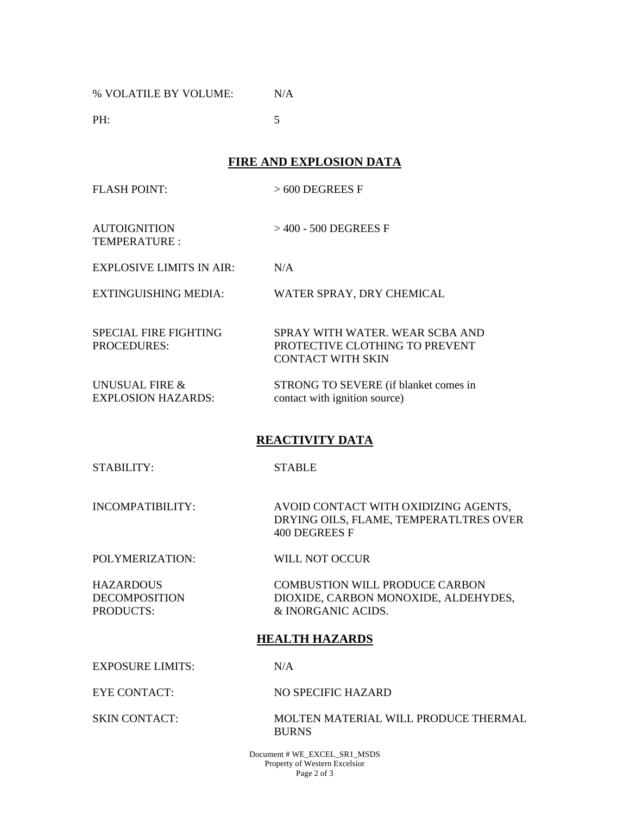% VOLATILE BY VOLUME: N/A

**PH:** 5

**FIRE AND EXPLOSION DATA** 

FLASH POINT: > 600 DEGREES F

AUTOIGNITION TEMPERATURE : > 400 - 500 DEGREES F

EXPLOSIVE LIMITS IN AIR: N/A

EXTINGUISHING MEDIA: WATER SPRAY, DRY CHEMICAL

SPECIAL FIRE FIGHTING PROCEDURES: SPRAY WITH WATER. WEAR SCBA AND PROTECTIVE CLOTHING TO PREVENT CONTACT WITH SKIN

UNUSUAL FIRE & EXPLOSION HAZARDS: STRONG TO SEVERE (if blanket comes in contact with ignition source)

# **REACTIVITY DATA**

STABILITY: STABLE

INCOMPATIBILITY: AVOID CONTACT WITH OXIDIZING AGENTS, DRYING OILS, FLAME, TEMPERATLTRES OVER 400 DEGREES F

POLYMERIZATION: WILL NOT OCCUR

**HAZARDOUS** DECOMPOSITION PRODUCTS:

 COMBUSTION WILL PRODUCE CARBON DIOXIDE, CARBON MONOXIDE, ALDEHYDES, & INORGANIC ACIDS.

### **HEALTH HAZARDS**

EXPOSURE LIMITS: N/A

EYE CONTACT: NO SPECIFIC HAZARD

SKIN CONTACT: MOLTEN MATERIAL WILL PRODUCE THERMAL BURNS

> Document # WE\_EXCEL\_SR1\_MSDS Property of Western Excelsior Page 2 of 3